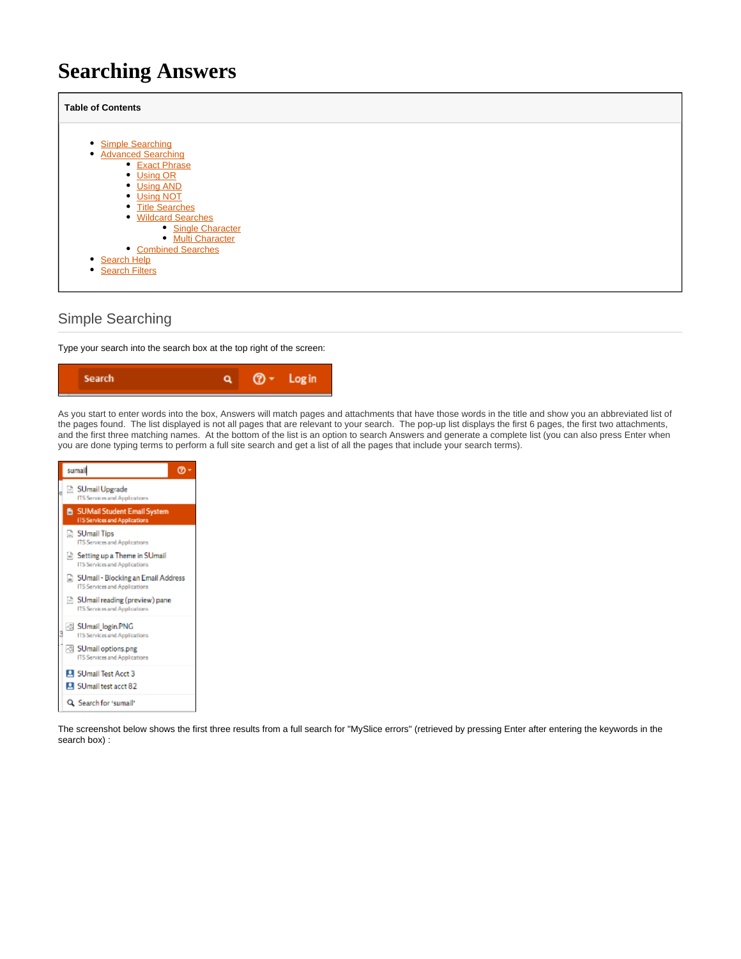# **Searching Answers**

| <b>Table of Contents</b>                                     |  |  |  |  |  |
|--------------------------------------------------------------|--|--|--|--|--|
| • Simple Searching<br><b>Advanced Searching</b><br>$\bullet$ |  |  |  |  |  |
| • Exact Phrase<br>• Using OR                                 |  |  |  |  |  |
| • Using AND<br>• Using NOT<br>• Title Searches               |  |  |  |  |  |
| • Wildcard Searches<br>• Single Character                    |  |  |  |  |  |
| • Multi Character<br>• Combined Searches<br>Search Help      |  |  |  |  |  |
| • Search Filters                                             |  |  |  |  |  |

# <span id="page-0-0"></span>Simple Searching

Type your search into the search box at the top right of the screen:



As you start to enter words into the box, Answers will match pages and attachments that have those words in the title and show you an abbreviated list of the pages found. The list displayed is not all pages that are relevant to your search. The pop-up list displays the first 6 pages, the first two attachments, and the first three matching names. At the bottom of the list is an option to search Answers and generate a complete list (you can also press Enter when you are done typing terms to perform a full site search and get a list of all the pages that include your search terms).

| sumal | ဨာ -                                                                         |  |
|-------|------------------------------------------------------------------------------|--|
|       | SUmail Upgrade<br>ITS Services and Applications                              |  |
|       | <b>图 SUMail Student Email System</b><br><b>ITS Services and Applications</b> |  |
|       | SUmail Tips<br>ITS Services and Applications                                 |  |
|       | Setting up a Theme in SUmail<br>ITS Services and Applications                |  |
|       | SUmail - Blocking an Email Address<br><b>ITS Services and Applications</b>   |  |
|       | SUmail reading (preview) pane<br>ITS Services and Applications               |  |
|       | 세 SUmail login.PNG<br>ITS Services and Applications                          |  |
|       | SUmail options.png<br>ITS Services and Applications                          |  |
|       | <b>Ell</b> SUmail Test Acct 3                                                |  |
|       | <b>Ell</b> SUmail test acct 82                                               |  |
|       | Q. Search for 'sumail'                                                       |  |

The screenshot below shows the first three results from a full search for "MySlice errors" (retrieved by pressing Enter after entering the keywords in the search box) :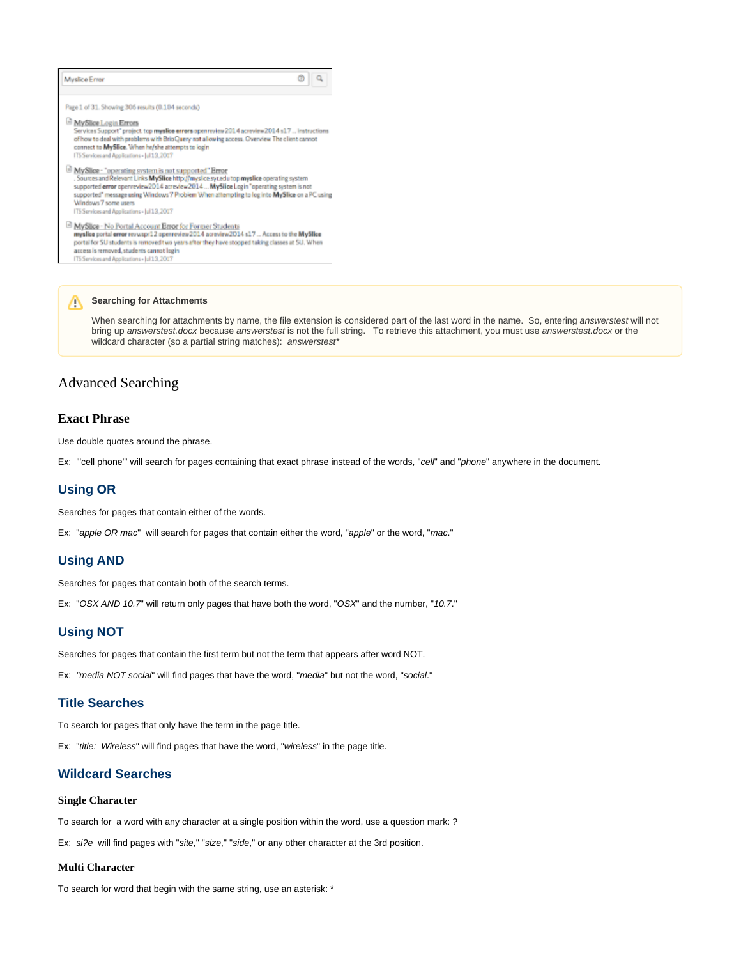| <b>Myslice Error</b>                                                                                                                                                                                                                                                                                                                                                                                            |  |
|-----------------------------------------------------------------------------------------------------------------------------------------------------------------------------------------------------------------------------------------------------------------------------------------------------------------------------------------------------------------------------------------------------------------|--|
| Page 1 of 31. Showing 306 results (0.104 seconds)                                                                                                                                                                                                                                                                                                                                                               |  |
| MySlice Login Errors<br>Services Support" project. top myslice errors openreview 2014 acreview 2014 s17  Instructions<br>of how to deal with problems with BrioQuery not allowing access. Overview The client cannot<br>connect to MySlice. When he/she attempts to login<br>ITS Services and Applications - Jul 13, 2017                                                                                       |  |
| MySlice - "operating system is not supported" Error<br>. Sources and Relevant Links MySlice http://myslice.syr.edutop.myslice.operating.system.<br>supported error openreview2014 acresiew2014  MySlice Login "operating system is not<br>supported" message using Windows 7 Problem When attempting to log into MySlice on a PC using<br>Windows 7 some users.<br>ITS Services and Applications - Jul 13, 2017 |  |
| MySlice - No Portal Account Error for Former Students<br>myslice portal error revwapr12 openreview2014 acreview2014 s17  Access to the MySlice<br>portal for SU students is removed two years after they have stopped taking classes at SU. When<br>access is removed, students cannot login<br>ITS Services and Applications - Jul 13, 2017                                                                    |  |

# **Searching for Attachments**

When searching for attachments by name, the file extension is considered part of the last word in the name. So, entering answerstest will not bring up answerstest.docx because answerstest is not the full string. To retrieve this attachment, you must use answerstest.docx or the wildcard character (so a partial string matches): answerstest\*

## <span id="page-1-0"></span>Advanced Searching

#### <span id="page-1-1"></span>**Exact Phrase**

Use double quotes around the phrase.

Ex: "cell phone" will search for pages containing that exact phrase instead of the words, "cell" and "phone" anywhere in the document.

### <span id="page-1-2"></span>**Using OR**

Searches for pages that contain either of the words.

Ex: "apple OR mac" will search for pages that contain either the word, "apple" or the word, "mac."

#### <span id="page-1-3"></span>**Using AND**

Searches for pages that contain both of the search terms.

Ex: "OSX AND 10.7" will return only pages that have both the word, "OSX" and the number, "10.7."

#### <span id="page-1-4"></span>**Using NOT**

Searches for pages that contain the first term but not the term that appears after word NOT.

Ex: "media NOT social" will find pages that have the word, "media" but not the word, "social."

## <span id="page-1-5"></span>**Title Searches**

To search for pages that only have the term in the page title.

Ex: "title: Wireless" will find pages that have the word, "wireless" in the page title.

## <span id="page-1-6"></span>**Wildcard Searches**

#### <span id="page-1-7"></span>**Single Character**

To search for a word with any character at a single position within the word, use a question mark: ?

Ex: si?e will find pages with "site," "size," "side," or any other character at the 3rd position.

#### <span id="page-1-8"></span>**Multi Character**

To search for word that begin with the same string, use an asterisk: \*